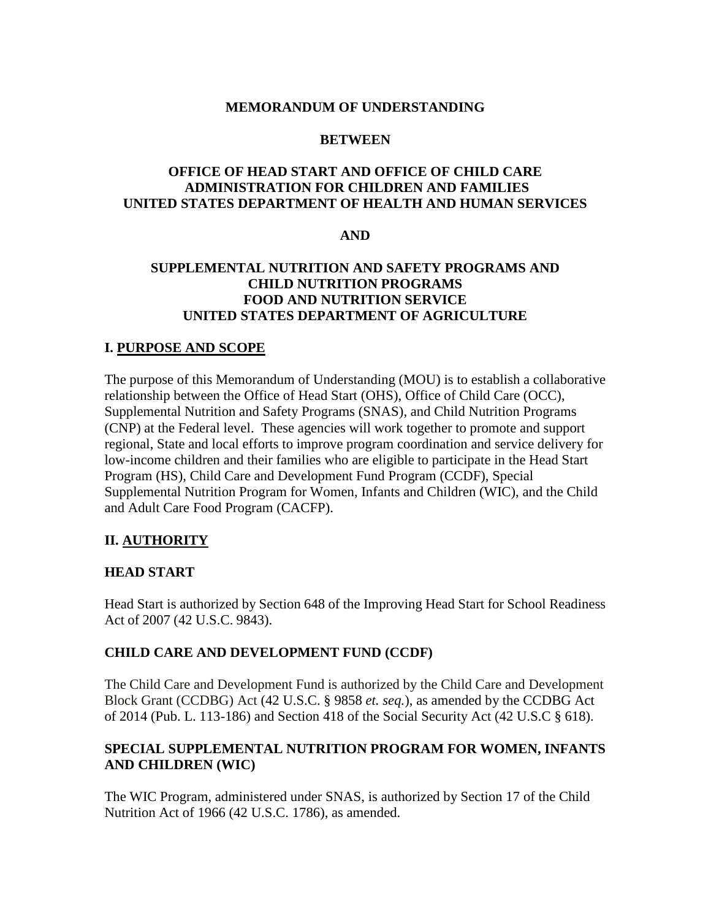#### **MEMORANDUM OF UNDERSTANDING**

#### **BETWEEN**

## **OFFICE OF HEAD START AND OFFICE OF CHILD CARE ADMINISTRATION FOR CHILDREN AND FAMILIES UNITED STATES DEPARTMENT OF HEALTH AND HUMAN SERVICES**

#### **AND**

## **SUPPLEMENTAL NUTRITION AND SAFETY PROGRAMS AND CHILD NUTRITION PROGRAMS FOOD AND NUTRITION SERVICE UNITED STATES DEPARTMENT OF AGRICULTURE**

#### **I. PURPOSE AND SCOPE**

The purpose of this Memorandum of Understanding (MOU) is to establish a collaborative relationship between the Office of Head Start (OHS), Office of Child Care (OCC), Supplemental Nutrition and Safety Programs (SNAS), and Child Nutrition Programs (CNP) at the Federal level. These agencies will work together to promote and support regional, State and local efforts to improve program coordination and service delivery for low-income children and their families who are eligible to participate in the Head Start Program (HS), Child Care and Development Fund Program (CCDF), Special Supplemental Nutrition Program for Women, Infants and Children (WIC), and the Child and Adult Care Food Program (CACFP).

## **II. AUTHORITY**

#### **HEAD START**

Head Start is authorized by Section 648 of the Improving Head Start for School Readiness Act of 2007 (42 U.S.C. 9843).

## **CHILD CARE AND DEVELOPMENT FUND (CCDF)**

The Child Care and Development Fund is authorized by the Child Care and Development Block Grant (CCDBG) Act (42 U.S.C. § 9858 *et. seq.*), as amended by the CCDBG Act of 2014 (Pub. L. 113-186) and Section 418 of the Social Security Act (42 U.S.C § 618).

#### **SPECIAL SUPPLEMENTAL NUTRITION PROGRAM FOR WOMEN, INFANTS AND CHILDREN (WIC)**

The WIC Program, administered under SNAS, is authorized by Section 17 of the Child Nutrition Act of 1966 (42 U.S.C. 1786), as amended.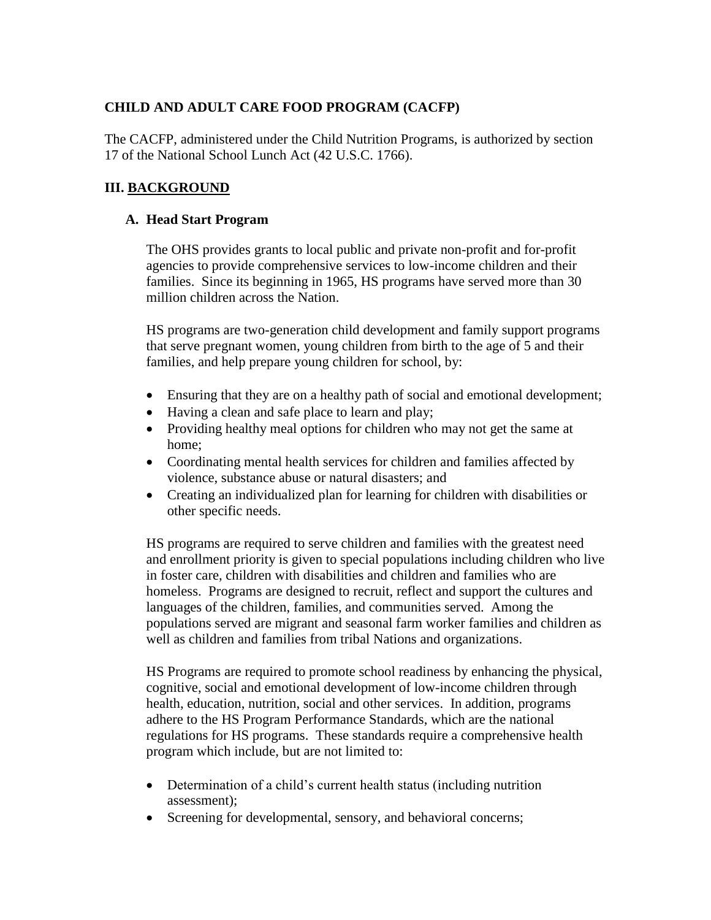# **CHILD AND ADULT CARE FOOD PROGRAM (CACFP)**

The CACFP, administered under the Child Nutrition Programs, is authorized by section 17 of the National School Lunch Act (42 U.S.C. 1766).

# **III. BACKGROUND**

### **A. Head Start Program**

The OHS provides grants to local public and private non-profit and for-profit agencies to provide comprehensive services to low-income children and their families. Since its beginning in 1965, HS programs have served more than 30 million children across the Nation.

HS programs are two-generation child development and family support programs that serve pregnant women, young children from birth to the age of 5 and their families, and help prepare young children for school, by:

- Ensuring that they are on a healthy path of social and emotional development;
- Having a clean and safe place to learn and play;
- Providing healthy meal options for children who may not get the same at home;
- Coordinating mental health services for children and families affected by violence, substance abuse or natural disasters; and
- Creating an individualized plan for learning for children with disabilities or other specific needs.

HS programs are required to serve children and families with the greatest need and enrollment priority is given to special populations including children who live in foster care, children with disabilities and children and families who are homeless. Programs are designed to recruit, reflect and support the cultures and languages of the children, families, and communities served. Among the populations served are migrant and seasonal farm worker families and children as well as children and families from tribal Nations and organizations.

HS Programs are required to promote school readiness by enhancing the physical, cognitive, social and emotional development of low-income children through health, education, nutrition, social and other services. In addition, programs adhere to the HS Program Performance Standards, which are the national regulations for HS programs. These standards require a comprehensive health program which include, but are not limited to:

- Determination of a child's current health status (including nutrition assessment);
- Screening for developmental, sensory, and behavioral concerns;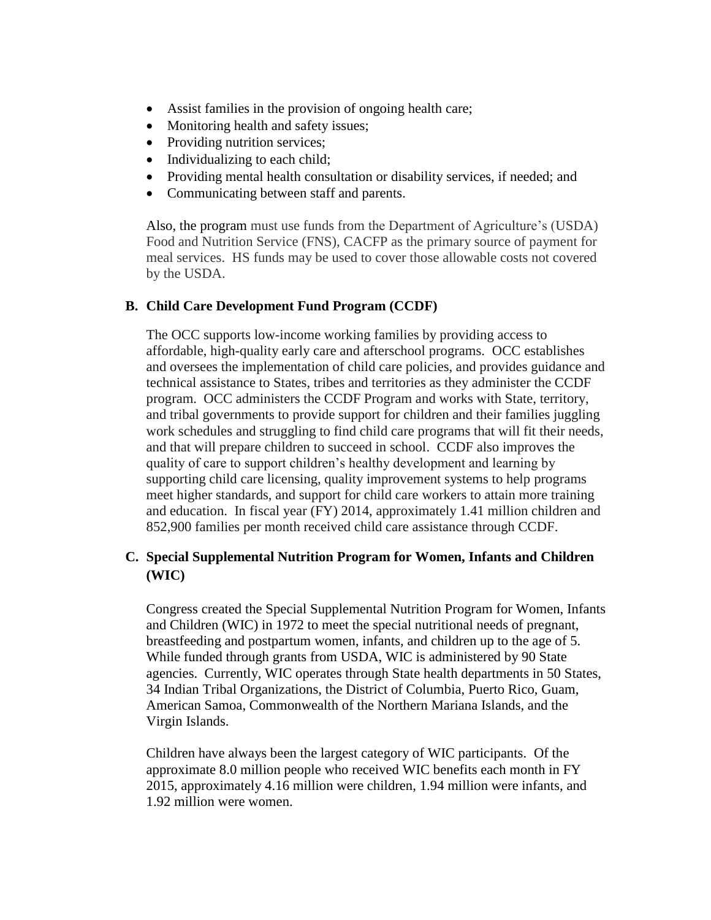- Assist families in the provision of ongoing health care;
- Monitoring health and safety issues;
- Providing nutrition services;
- Individualizing to each child;
- Providing mental health consultation or disability services, if needed; and
- Communicating between staff and parents.

Also, the program must use funds from the Department of Agriculture's (USDA) Food and Nutrition Service (FNS), CACFP as the primary source of payment for meal services. HS funds may be used to cover those allowable costs not covered by the USDA.

## **B. Child Care Development Fund Program (CCDF)**

The OCC supports low-income working families by providing access to affordable, high-quality early care and afterschool programs. OCC establishes and oversees the implementation of child care policies, and provides guidance and technical assistance to States, tribes and territories as they administer the CCDF program. OCC administers the CCDF Program and works with State, territory, and tribal governments to provide support for children and their families juggling work schedules and struggling to find child care programs that will fit their needs, and that will prepare children to succeed in school. CCDF also improves the quality of care to support children's healthy development and learning by supporting child care licensing, quality improvement systems to help programs meet higher standards, and support for child care workers to attain more training and education. In fiscal year (FY) 2014, approximately 1.41 million children and 852,900 families per month received child care assistance through CCDF.

# **C. Special Supplemental Nutrition Program for Women, Infants and Children (WIC)**

Congress created the Special Supplemental Nutrition Program for Women, Infants and Children (WIC) in 1972 to meet the special nutritional needs of pregnant, breastfeeding and postpartum women, infants, and children up to the age of 5. While funded through grants from USDA, WIC is administered by 90 State agencies. Currently, WIC operates through State health departments in 50 States, 34 Indian Tribal Organizations, the District of Columbia, Puerto Rico, Guam, American Samoa, Commonwealth of the Northern Mariana Islands, and the Virgin Islands.

Children have always been the largest category of WIC participants. Of the approximate 8.0 million people who received WIC benefits each month in FY 2015, approximately 4.16 million were children, 1.94 million were infants, and 1.92 million were women.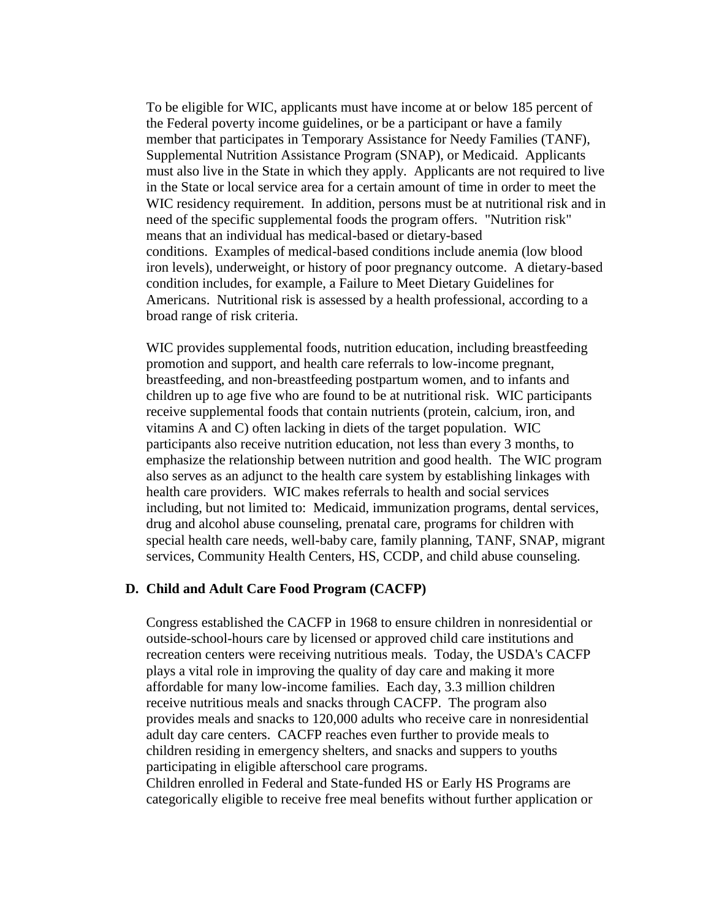To be eligible for WIC, applicants must have income at or below 185 percent of the Federal poverty income guidelines, or be a participant or have a family member that participates in Temporary Assistance for Needy Families (TANF), Supplemental Nutrition Assistance Program (SNAP), or Medicaid. Applicants must also live in the State in which they apply. Applicants are not required to live in the State or local service area for a certain amount of time in order to meet the WIC residency requirement. In addition, persons must be at nutritional risk and in need of the specific supplemental foods the program offers. "Nutrition risk" means that an individual has medical-based or dietary-based conditions. Examples of medical-based conditions include anemia (low blood iron levels), underweight, or history of poor pregnancy outcome. A dietary-based condition includes, for example, a Failure to Meet Dietary Guidelines for Americans. Nutritional risk is assessed by a health professional, according to a broad range of risk criteria.

WIC provides supplemental foods, nutrition education, including breastfeeding promotion and support, and health care referrals to low-income pregnant, breastfeeding, and non-breastfeeding postpartum women, and to infants and children up to age five who are found to be at nutritional risk. WIC participants receive supplemental foods that contain nutrients (protein, calcium, iron, and vitamins A and C) often lacking in diets of the target population. WIC participants also receive nutrition education, not less than every 3 months, to emphasize the relationship between nutrition and good health. The WIC program also serves as an adjunct to the health care system by establishing linkages with health care providers. WIC makes referrals to health and social services including, but not limited to: Medicaid, immunization programs, dental services, drug and alcohol abuse counseling, prenatal care, programs for children with special health care needs, well-baby care, family planning, TANF, SNAP, migrant services, Community Health Centers, HS, CCDP, and child abuse counseling.

#### **D. Child and Adult Care Food Program (CACFP)**

Congress established the CACFP in 1968 to ensure children in nonresidential or outside-school-hours care by licensed or approved child care institutions and recreation centers were receiving nutritious meals. Today, the USDA's CACFP plays a vital role in improving the quality of day care and making it more affordable for many low-income families. Each day, 3.3 million children receive nutritious meals and snacks through CACFP. The program also provides meals and snacks to 120,000 adults who receive care in nonresidential adult day care centers. CACFP reaches even further to provide meals to children residing in emergency shelters, and snacks and suppers to youths participating in eligible afterschool care programs.

Children enrolled in Federal and State-funded HS or Early HS Programs are categorically eligible to receive free meal benefits without further application or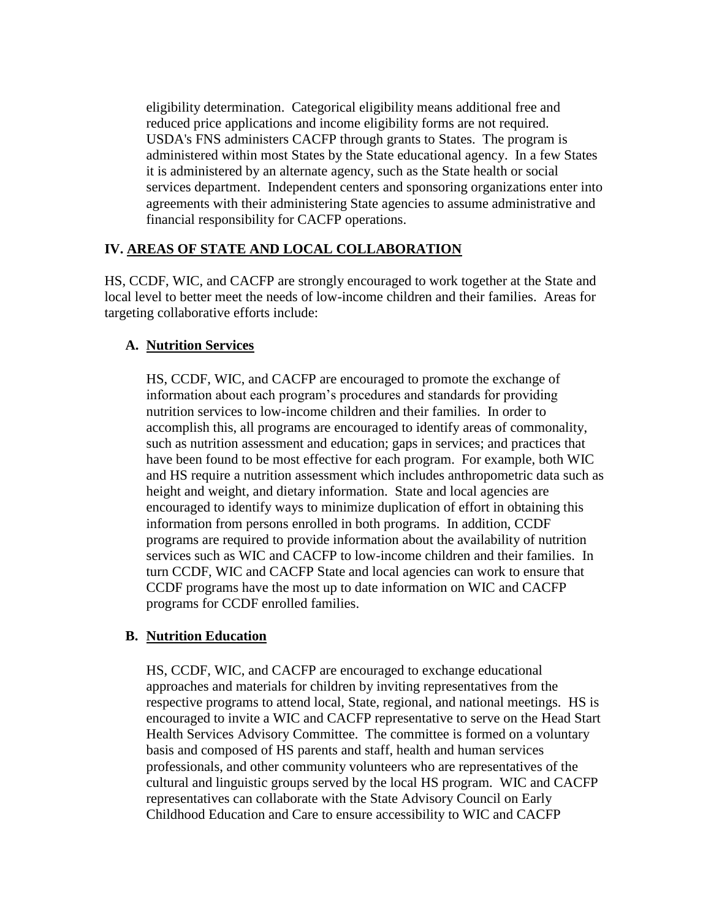eligibility determination. Categorical eligibility means additional free and reduced price applications and income eligibility forms are not required. USDA's FNS administers CACFP through grants to States. The program is administered within most States by the State educational agency. In a few States it is administered by an alternate agency, such as the State health or social services department. Independent centers and sponsoring organizations enter into agreements with their administering State agencies to assume administrative and financial responsibility for CACFP operations.

## **IV. AREAS OF STATE AND LOCAL COLLABORATION**

HS, CCDF, WIC, and CACFP are strongly encouraged to work together at the State and local level to better meet the needs of low-income children and their families. Areas for targeting collaborative efforts include:

#### **A. Nutrition Services**

HS, CCDF, WIC, and CACFP are encouraged to promote the exchange of information about each program's procedures and standards for providing nutrition services to low-income children and their families. In order to accomplish this, all programs are encouraged to identify areas of commonality, such as nutrition assessment and education; gaps in services; and practices that have been found to be most effective for each program. For example, both WIC and HS require a nutrition assessment which includes anthropometric data such as height and weight, and dietary information. State and local agencies are encouraged to identify ways to minimize duplication of effort in obtaining this information from persons enrolled in both programs. In addition, CCDF programs are required to provide information about the availability of nutrition services such as WIC and CACFP to low-income children and their families. In turn CCDF, WIC and CACFP State and local agencies can work to ensure that CCDF programs have the most up to date information on WIC and CACFP programs for CCDF enrolled families.

## **B. Nutrition Education**

HS, CCDF, WIC, and CACFP are encouraged to exchange educational approaches and materials for children by inviting representatives from the respective programs to attend local, State, regional, and national meetings. HS is encouraged to invite a WIC and CACFP representative to serve on the Head Start Health Services Advisory Committee. The committee is formed on a voluntary basis and composed of HS parents and staff, health and human services professionals, and other community volunteers who are representatives of the cultural and linguistic groups served by the local HS program. WIC and CACFP representatives can collaborate with the State Advisory Council on Early Childhood Education and Care to ensure accessibility to WIC and CACFP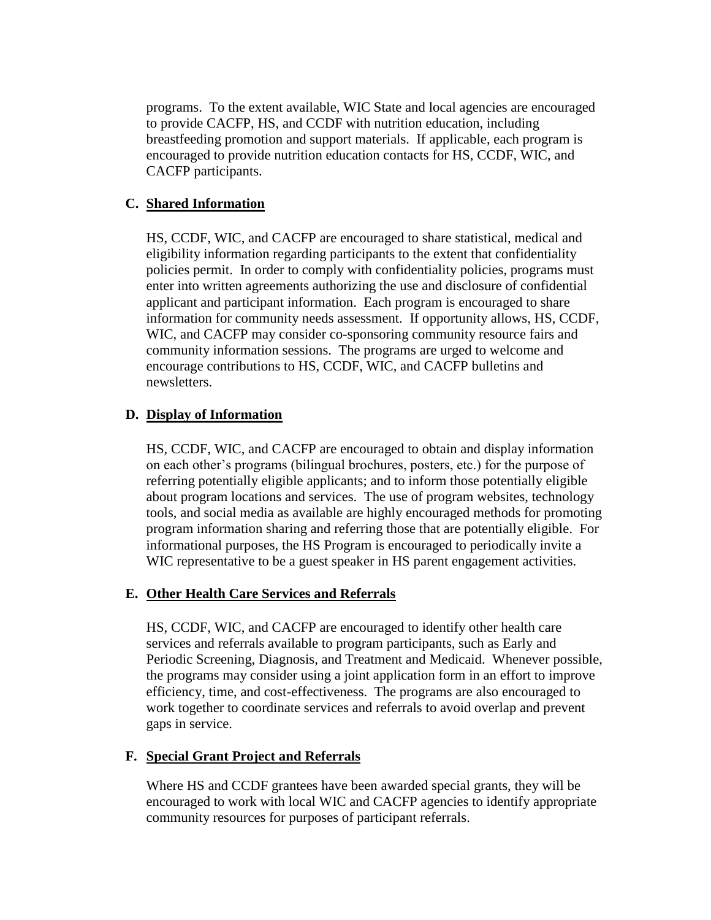programs. To the extent available, WIC State and local agencies are encouraged to provide CACFP, HS, and CCDF with nutrition education, including breastfeeding promotion and support materials. If applicable, each program is encouraged to provide nutrition education contacts for HS, CCDF, WIC, and CACFP participants.

### **C. Shared Information**

HS, CCDF, WIC, and CACFP are encouraged to share statistical, medical and eligibility information regarding participants to the extent that confidentiality policies permit. In order to comply with confidentiality policies, programs must enter into written agreements authorizing the use and disclosure of confidential applicant and participant information. Each program is encouraged to share information for community needs assessment. If opportunity allows, HS, CCDF, WIC, and CACFP may consider co-sponsoring community resource fairs and community information sessions. The programs are urged to welcome and encourage contributions to HS, CCDF, WIC, and CACFP bulletins and newsletters.

#### **D. Display of Information**

HS, CCDF, WIC, and CACFP are encouraged to obtain and display information on each other's programs (bilingual brochures, posters, etc.) for the purpose of referring potentially eligible applicants; and to inform those potentially eligible about program locations and services. The use of program websites, technology tools, and social media as available are highly encouraged methods for promoting program information sharing and referring those that are potentially eligible. For informational purposes, the HS Program is encouraged to periodically invite a WIC representative to be a guest speaker in HS parent engagement activities.

#### **E. Other Health Care Services and Referrals**

HS, CCDF, WIC, and CACFP are encouraged to identify other health care services and referrals available to program participants, such as Early and Periodic Screening, Diagnosis, and Treatment and Medicaid. Whenever possible, the programs may consider using a joint application form in an effort to improve efficiency, time, and cost-effectiveness. The programs are also encouraged to work together to coordinate services and referrals to avoid overlap and prevent gaps in service.

#### **F. Special Grant Project and Referrals**

Where HS and CCDF grantees have been awarded special grants, they will be encouraged to work with local WIC and CACFP agencies to identify appropriate community resources for purposes of participant referrals.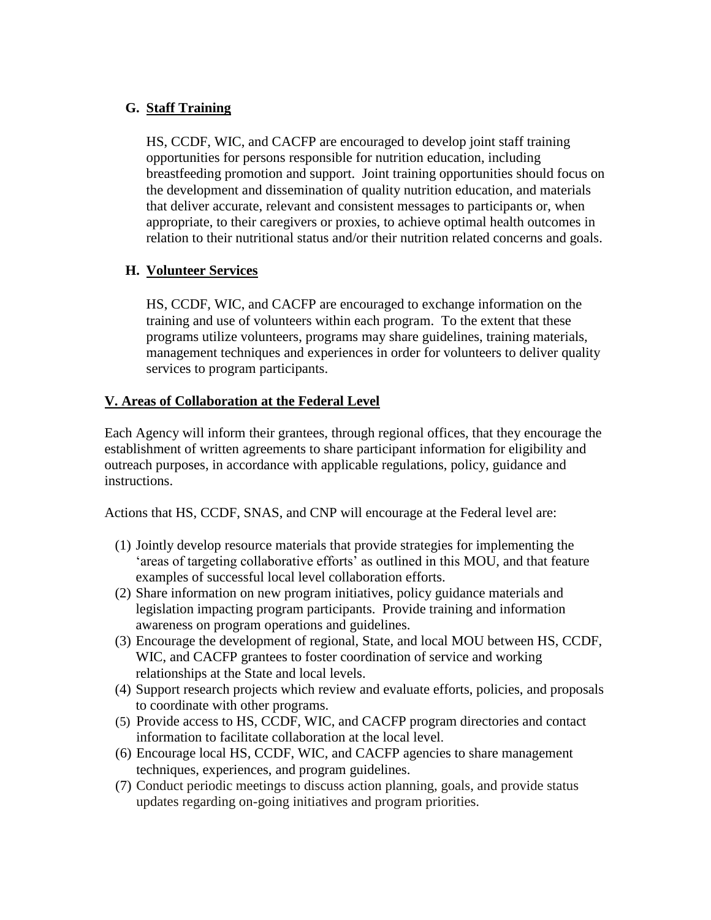## **G. Staff Training**

HS, CCDF, WIC, and CACFP are encouraged to develop joint staff training opportunities for persons responsible for nutrition education, including breastfeeding promotion and support. Joint training opportunities should focus on the development and dissemination of quality nutrition education, and materials that deliver accurate, relevant and consistent messages to participants or, when appropriate, to their caregivers or proxies, to achieve optimal health outcomes in relation to their nutritional status and/or their nutrition related concerns and goals.

# **H. Volunteer Services**

HS, CCDF, WIC, and CACFP are encouraged to exchange information on the training and use of volunteers within each program. To the extent that these programs utilize volunteers, programs may share guidelines, training materials, management techniques and experiences in order for volunteers to deliver quality services to program participants.

# **V. Areas of Collaboration at the Federal Level**

Each Agency will inform their grantees, through regional offices, that they encourage the establishment of written agreements to share participant information for eligibility and outreach purposes, in accordance with applicable regulations, policy, guidance and instructions.

Actions that HS, CCDF, SNAS, and CNP will encourage at the Federal level are:

- (1) Jointly develop resource materials that provide strategies for implementing the 'areas of targeting collaborative efforts' as outlined in this MOU, and that feature examples of successful local level collaboration efforts.
- (2) Share information on new program initiatives, policy guidance materials and legislation impacting program participants. Provide training and information awareness on program operations and guidelines.
- (3) Encourage the development of regional, State, and local MOU between HS, CCDF, WIC, and CACFP grantees to foster coordination of service and working relationships at the State and local levels.
- (4) Support research projects which review and evaluate efforts, policies, and proposals to coordinate with other programs.
- (5) Provide access to HS, CCDF, WIC, and CACFP program directories and contact information to facilitate collaboration at the local level.
- (6) Encourage local HS, CCDF, WIC, and CACFP agencies to share management techniques, experiences, and program guidelines.
- (7) Conduct periodic meetings to discuss action planning, goals, and provide status updates regarding on-going initiatives and program priorities.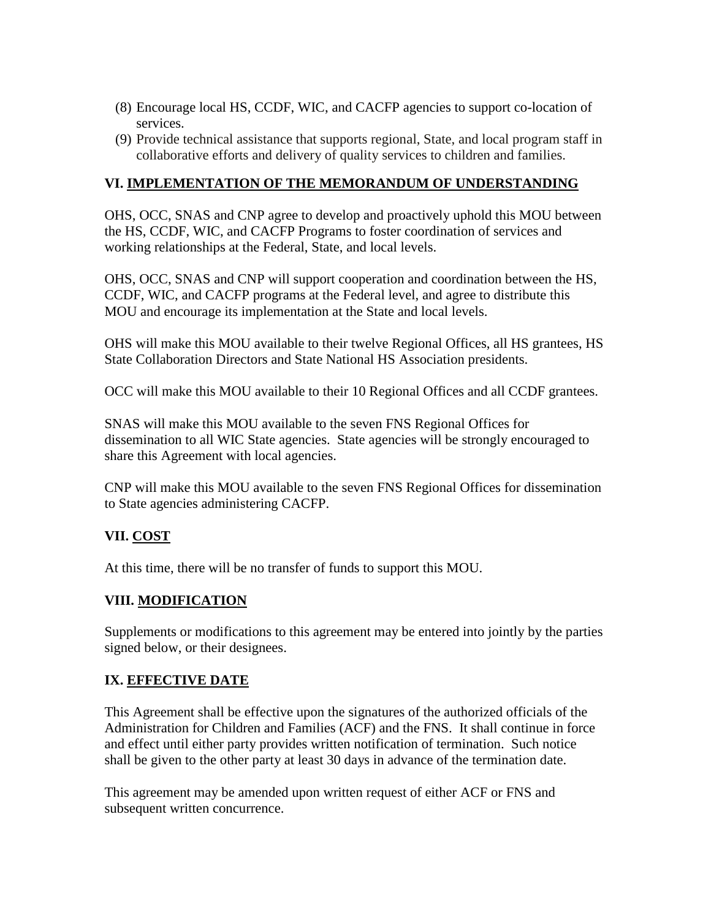- (8) Encourage local HS, CCDF, WIC, and CACFP agencies to support co-location of services.
- (9) Provide technical assistance that supports regional, State, and local program staff in collaborative efforts and delivery of quality services to children and families.

## **VI. IMPLEMENTATION OF THE MEMORANDUM OF UNDERSTANDING**

OHS, OCC, SNAS and CNP agree to develop and proactively uphold this MOU between the HS, CCDF, WIC, and CACFP Programs to foster coordination of services and working relationships at the Federal, State, and local levels.

OHS, OCC, SNAS and CNP will support cooperation and coordination between the HS, CCDF, WIC, and CACFP programs at the Federal level, and agree to distribute this MOU and encourage its implementation at the State and local levels.

OHS will make this MOU available to their twelve Regional Offices, all HS grantees, HS State Collaboration Directors and State National HS Association presidents.

OCC will make this MOU available to their 10 Regional Offices and all CCDF grantees.

SNAS will make this MOU available to the seven FNS Regional Offices for dissemination to all WIC State agencies. State agencies will be strongly encouraged to share this Agreement with local agencies.

CNP will make this MOU available to the seven FNS Regional Offices for dissemination to State agencies administering CACFP.

# **VII. COST**

At this time, there will be no transfer of funds to support this MOU.

## **VIII. MODIFICATION**

Supplements or modifications to this agreement may be entered into jointly by the parties signed below, or their designees.

# **IX. EFFECTIVE DATE**

This Agreement shall be effective upon the signatures of the authorized officials of the Administration for Children and Families (ACF) and the FNS. It shall continue in force and effect until either party provides written notification of termination. Such notice shall be given to the other party at least 30 days in advance of the termination date.

This agreement may be amended upon written request of either ACF or FNS and subsequent written concurrence.